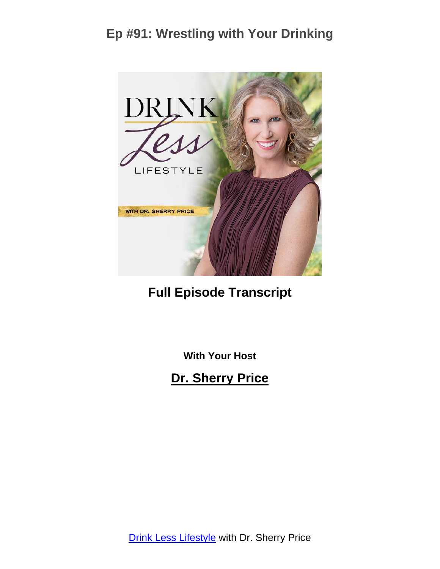

**Full Episode Transcript**

**With Your Host**

**Dr. Sherry Price**

**Drink Less [Lifestyle](https://sherryprice.com/podcast) with Dr. Sherry Price**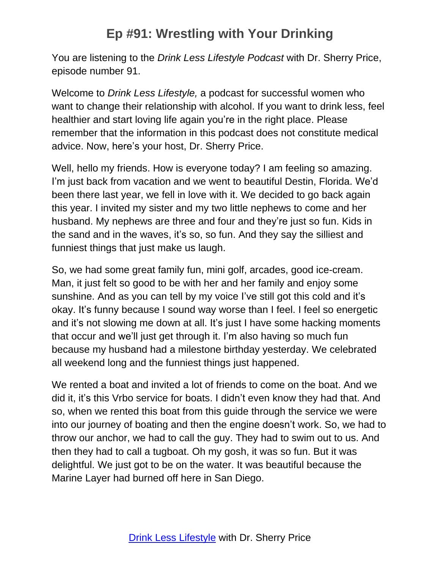You are listening to the *Drink Less Lifestyle Podcast* with Dr. Sherry Price, episode number 91.

Welcome to *Drink Less Lifestyle,* a podcast for successful women who want to change their relationship with alcohol. If you want to drink less, feel healthier and start loving life again you're in the right place. Please remember that the information in this podcast does not constitute medical advice. Now, here's your host, Dr. Sherry Price.

Well, hello my friends. How is everyone today? I am feeling so amazing. I'm just back from vacation and we went to beautiful Destin, Florida. We'd been there last year, we fell in love with it. We decided to go back again this year. I invited my sister and my two little nephews to come and her husband. My nephews are three and four and they're just so fun. Kids in the sand and in the waves, it's so, so fun. And they say the silliest and funniest things that just make us laugh.

So, we had some great family fun, mini golf, arcades, good ice-cream. Man, it just felt so good to be with her and her family and enjoy some sunshine. And as you can tell by my voice I've still got this cold and it's okay. It's funny because I sound way worse than I feel. I feel so energetic and it's not slowing me down at all. It's just I have some hacking moments that occur and we'll just get through it. I'm also having so much fun because my husband had a milestone birthday yesterday. We celebrated all weekend long and the funniest things just happened.

We rented a boat and invited a lot of friends to come on the boat. And we did it, it's this Vrbo service for boats. I didn't even know they had that. And so, when we rented this boat from this guide through the service we were into our journey of boating and then the engine doesn't work. So, we had to throw our anchor, we had to call the guy. They had to swim out to us. And then they had to call a tugboat. Oh my gosh, it was so fun. But it was delightful. We just got to be on the water. It was beautiful because the Marine Layer had burned off here in San Diego.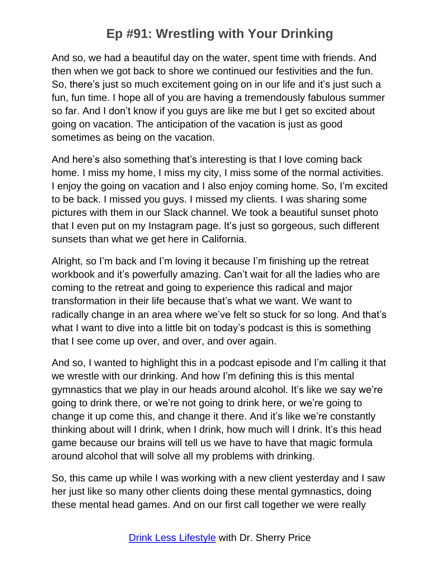And so, we had a beautiful day on the water, spent time with friends. And then when we got back to shore we continued our festivities and the fun. So, there's just so much excitement going on in our life and it's just such a fun, fun time. I hope all of you are having a tremendously fabulous summer so far. And I don't know if you guys are like me but I get so excited about going on vacation. The anticipation of the vacation is just as good sometimes as being on the vacation.

And here's also something that's interesting is that I love coming back home. I miss my home, I miss my city, I miss some of the normal activities. I enjoy the going on vacation and I also enjoy coming home. So, I'm excited to be back. I missed you guys. I missed my clients. I was sharing some pictures with them in our Slack channel. We took a beautiful sunset photo that I even put on my Instagram page. It's just so gorgeous, such different sunsets than what we get here in California.

Alright, so I'm back and I'm loving it because I'm finishing up the retreat workbook and it's powerfully amazing. Can't wait for all the ladies who are coming to the retreat and going to experience this radical and major transformation in their life because that's what we want. We want to radically change in an area where we've felt so stuck for so long. And that's what I want to dive into a little bit on today's podcast is this is something that I see come up over, and over, and over again.

And so, I wanted to highlight this in a podcast episode and I'm calling it that we wrestle with our drinking. And how I'm defining this is this mental gymnastics that we play in our heads around alcohol. It's like we say we're going to drink there, or we're not going to drink here, or we're going to change it up come this, and change it there. And it's like we're constantly thinking about will I drink, when I drink, how much will I drink. It's this head game because our brains will tell us we have to have that magic formula around alcohol that will solve all my problems with drinking.

So, this came up while I was working with a new client yesterday and I saw her just like so many other clients doing these mental gymnastics, doing these mental head games. And on our first call together we were really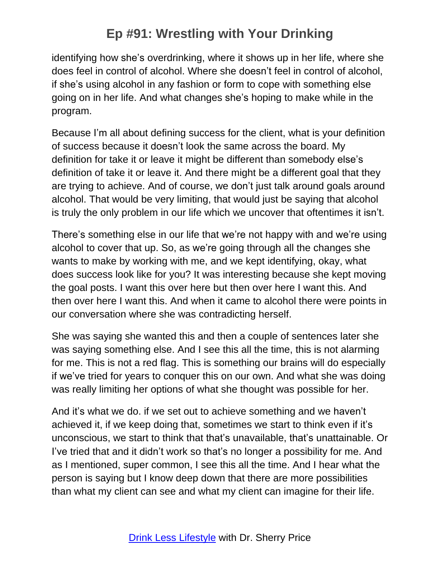identifying how she's overdrinking, where it shows up in her life, where she does feel in control of alcohol. Where she doesn't feel in control of alcohol, if she's using alcohol in any fashion or form to cope with something else going on in her life. And what changes she's hoping to make while in the program.

Because I'm all about defining success for the client, what is your definition of success because it doesn't look the same across the board. My definition for take it or leave it might be different than somebody else's definition of take it or leave it. And there might be a different goal that they are trying to achieve. And of course, we don't just talk around goals around alcohol. That would be very limiting, that would just be saying that alcohol is truly the only problem in our life which we uncover that oftentimes it isn't.

There's something else in our life that we're not happy with and we're using alcohol to cover that up. So, as we're going through all the changes she wants to make by working with me, and we kept identifying, okay, what does success look like for you? It was interesting because she kept moving the goal posts. I want this over here but then over here I want this. And then over here I want this. And when it came to alcohol there were points in our conversation where she was contradicting herself.

She was saying she wanted this and then a couple of sentences later she was saying something else. And I see this all the time, this is not alarming for me. This is not a red flag. This is something our brains will do especially if we've tried for years to conquer this on our own. And what she was doing was really limiting her options of what she thought was possible for her.

And it's what we do. if we set out to achieve something and we haven't achieved it, if we keep doing that, sometimes we start to think even if it's unconscious, we start to think that that's unavailable, that's unattainable. Or I've tried that and it didn't work so that's no longer a possibility for me. And as I mentioned, super common, I see this all the time. And I hear what the person is saying but I know deep down that there are more possibilities than what my client can see and what my client can imagine for their life.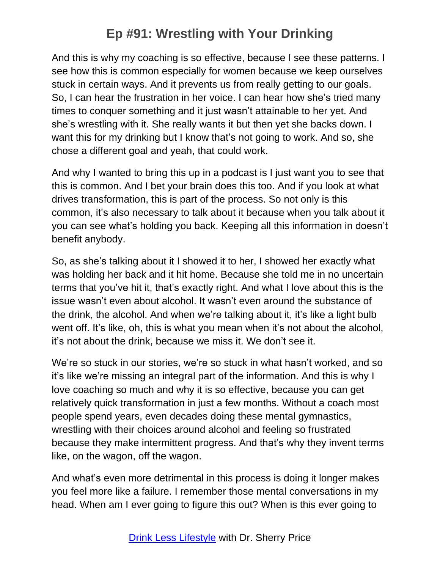And this is why my coaching is so effective, because I see these patterns. I see how this is common especially for women because we keep ourselves stuck in certain ways. And it prevents us from really getting to our goals. So, I can hear the frustration in her voice. I can hear how she's tried many times to conquer something and it just wasn't attainable to her yet. And she's wrestling with it. She really wants it but then yet she backs down. I want this for my drinking but I know that's not going to work. And so, she chose a different goal and yeah, that could work.

And why I wanted to bring this up in a podcast is I just want you to see that this is common. And I bet your brain does this too. And if you look at what drives transformation, this is part of the process. So not only is this common, it's also necessary to talk about it because when you talk about it you can see what's holding you back. Keeping all this information in doesn't benefit anybody.

So, as she's talking about it I showed it to her, I showed her exactly what was holding her back and it hit home. Because she told me in no uncertain terms that you've hit it, that's exactly right. And what I love about this is the issue wasn't even about alcohol. It wasn't even around the substance of the drink, the alcohol. And when we're talking about it, it's like a light bulb went off. It's like, oh, this is what you mean when it's not about the alcohol, it's not about the drink, because we miss it. We don't see it.

We're so stuck in our stories, we're so stuck in what hasn't worked, and so it's like we're missing an integral part of the information. And this is why I love coaching so much and why it is so effective, because you can get relatively quick transformation in just a few months. Without a coach most people spend years, even decades doing these mental gymnastics, wrestling with their choices around alcohol and feeling so frustrated because they make intermittent progress. And that's why they invent terms like, on the wagon, off the wagon.

And what's even more detrimental in this process is doing it longer makes you feel more like a failure. I remember those mental conversations in my head. When am I ever going to figure this out? When is this ever going to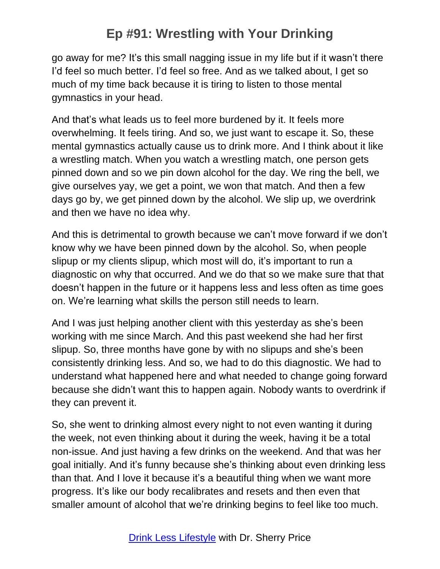go away for me? It's this small nagging issue in my life but if it wasn't there I'd feel so much better. I'd feel so free. And as we talked about, I get so much of my time back because it is tiring to listen to those mental gymnastics in your head.

And that's what leads us to feel more burdened by it. It feels more overwhelming. It feels tiring. And so, we just want to escape it. So, these mental gymnastics actually cause us to drink more. And I think about it like a wrestling match. When you watch a wrestling match, one person gets pinned down and so we pin down alcohol for the day. We ring the bell, we give ourselves yay, we get a point, we won that match. And then a few days go by, we get pinned down by the alcohol. We slip up, we overdrink and then we have no idea why.

And this is detrimental to growth because we can't move forward if we don't know why we have been pinned down by the alcohol. So, when people slipup or my clients slipup, which most will do, it's important to run a diagnostic on why that occurred. And we do that so we make sure that that doesn't happen in the future or it happens less and less often as time goes on. We're learning what skills the person still needs to learn.

And I was just helping another client with this yesterday as she's been working with me since March. And this past weekend she had her first slipup. So, three months have gone by with no slipups and she's been consistently drinking less. And so, we had to do this diagnostic. We had to understand what happened here and what needed to change going forward because she didn't want this to happen again. Nobody wants to overdrink if they can prevent it.

So, she went to drinking almost every night to not even wanting it during the week, not even thinking about it during the week, having it be a total non-issue. And just having a few drinks on the weekend. And that was her goal initially. And it's funny because she's thinking about even drinking less than that. And I love it because it's a beautiful thing when we want more progress. It's like our body recalibrates and resets and then even that smaller amount of alcohol that we're drinking begins to feel like too much.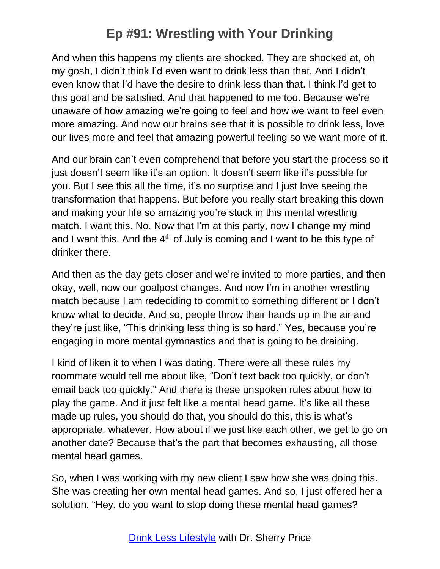And when this happens my clients are shocked. They are shocked at, oh my gosh, I didn't think I'd even want to drink less than that. And I didn't even know that I'd have the desire to drink less than that. I think I'd get to this goal and be satisfied. And that happened to me too. Because we're unaware of how amazing we're going to feel and how we want to feel even more amazing. And now our brains see that it is possible to drink less, love our lives more and feel that amazing powerful feeling so we want more of it.

And our brain can't even comprehend that before you start the process so it just doesn't seem like it's an option. It doesn't seem like it's possible for you. But I see this all the time, it's no surprise and I just love seeing the transformation that happens. But before you really start breaking this down and making your life so amazing you're stuck in this mental wrestling match. I want this. No. Now that I'm at this party, now I change my mind and I want this. And the  $4<sup>th</sup>$  of July is coming and I want to be this type of drinker there.

And then as the day gets closer and we're invited to more parties, and then okay, well, now our goalpost changes. And now I'm in another wrestling match because I am redeciding to commit to something different or I don't know what to decide. And so, people throw their hands up in the air and they're just like, "This drinking less thing is so hard." Yes, because you're engaging in more mental gymnastics and that is going to be draining.

I kind of liken it to when I was dating. There were all these rules my roommate would tell me about like, "Don't text back too quickly, or don't email back too quickly." And there is these unspoken rules about how to play the game. And it just felt like a mental head game. It's like all these made up rules, you should do that, you should do this, this is what's appropriate, whatever. How about if we just like each other, we get to go on another date? Because that's the part that becomes exhausting, all those mental head games.

So, when I was working with my new client I saw how she was doing this. She was creating her own mental head games. And so, I just offered her a solution. "Hey, do you want to stop doing these mental head games?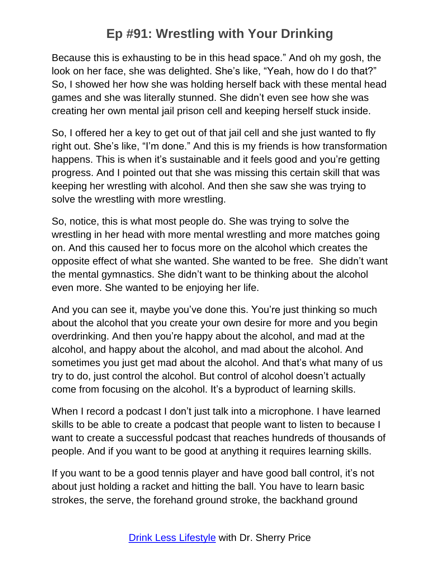Because this is exhausting to be in this head space." And oh my gosh, the look on her face, she was delighted. She's like, "Yeah, how do I do that?" So, I showed her how she was holding herself back with these mental head games and she was literally stunned. She didn't even see how she was creating her own mental jail prison cell and keeping herself stuck inside.

So, I offered her a key to get out of that jail cell and she just wanted to fly right out. She's like, "I'm done." And this is my friends is how transformation happens. This is when it's sustainable and it feels good and you're getting progress. And I pointed out that she was missing this certain skill that was keeping her wrestling with alcohol. And then she saw she was trying to solve the wrestling with more wrestling.

So, notice, this is what most people do. She was trying to solve the wrestling in her head with more mental wrestling and more matches going on. And this caused her to focus more on the alcohol which creates the opposite effect of what she wanted. She wanted to be free. She didn't want the mental gymnastics. She didn't want to be thinking about the alcohol even more. She wanted to be enjoying her life.

And you can see it, maybe you've done this. You're just thinking so much about the alcohol that you create your own desire for more and you begin overdrinking. And then you're happy about the alcohol, and mad at the alcohol, and happy about the alcohol, and mad about the alcohol. And sometimes you just get mad about the alcohol. And that's what many of us try to do, just control the alcohol. But control of alcohol doesn't actually come from focusing on the alcohol. It's a byproduct of learning skills.

When I record a podcast I don't just talk into a microphone. I have learned skills to be able to create a podcast that people want to listen to because I want to create a successful podcast that reaches hundreds of thousands of people. And if you want to be good at anything it requires learning skills.

If you want to be a good tennis player and have good ball control, it's not about just holding a racket and hitting the ball. You have to learn basic strokes, the serve, the forehand ground stroke, the backhand ground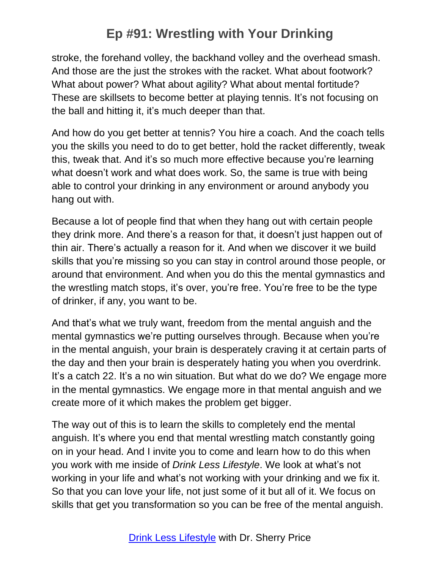stroke, the forehand volley, the backhand volley and the overhead smash. And those are the just the strokes with the racket. What about footwork? What about power? What about agility? What about mental fortitude? These are skillsets to become better at playing tennis. It's not focusing on the ball and hitting it, it's much deeper than that.

And how do you get better at tennis? You hire a coach. And the coach tells you the skills you need to do to get better, hold the racket differently, tweak this, tweak that. And it's so much more effective because you're learning what doesn't work and what does work. So, the same is true with being able to control your drinking in any environment or around anybody you hang out with.

Because a lot of people find that when they hang out with certain people they drink more. And there's a reason for that, it doesn't just happen out of thin air. There's actually a reason for it. And when we discover it we build skills that you're missing so you can stay in control around those people, or around that environment. And when you do this the mental gymnastics and the wrestling match stops, it's over, you're free. You're free to be the type of drinker, if any, you want to be.

And that's what we truly want, freedom from the mental anguish and the mental gymnastics we're putting ourselves through. Because when you're in the mental anguish, your brain is desperately craving it at certain parts of the day and then your brain is desperately hating you when you overdrink. It's a catch 22. It's a no win situation. But what do we do? We engage more in the mental gymnastics. We engage more in that mental anguish and we create more of it which makes the problem get bigger.

The way out of this is to learn the skills to completely end the mental anguish. It's where you end that mental wrestling match constantly going on in your head. And I invite you to come and learn how to do this when you work with me inside of *Drink Less Lifestyle*. We look at what's not working in your life and what's not working with your drinking and we fix it. So that you can love your life, not just some of it but all of it. We focus on skills that get you transformation so you can be free of the mental anguish.